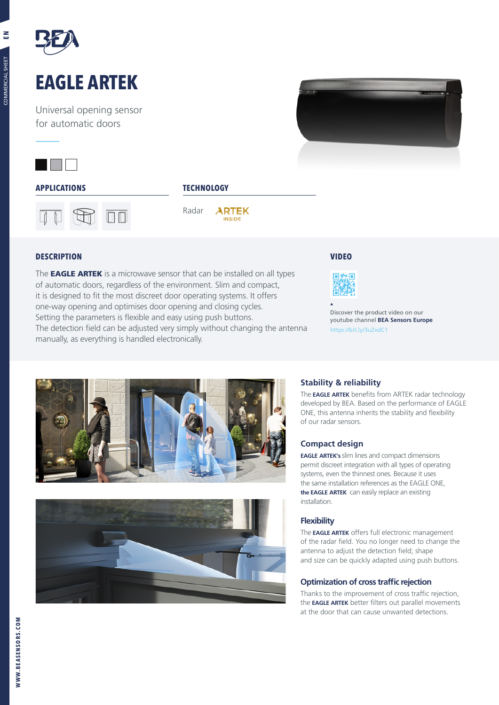

# **EAGLE ARTEK**

Universal opening sensor for automatic doors







Radar **ARTEK INSIDE** 

#### **DESCRIPTION**

The **EAGLE ARTEK** is a microwave sensor that can be installed on all types of automatic doors, regardless of the environment. Slim and compact, it is designed to fit the most discreet door operating systems. It offers one-way opening and optimises door opening and closing cycles. Setting the parameters is flexible and easy using push buttons. The detection field can be adjusted very simply without changing the antenna manually, as everything is handled electronically.

#### **VIDEO**



Discover the product video on our youtube channel **BEA Sensors Europe** https://bit.ly/3uZxdC1





### **Stability & reliability**

The **EAGLE ARTEK** benefits from ARTEK radar technology developed by BEA. Based on the performance of EAGLE ONE, this antenna inherits the stability and flexibility of our radar sensors.

#### **Compact design**

**EAGLE ARTEK's** slim lines and compact dimensions permit discreet integration with all types of operating systems, even the thinnest ones. Because it uses the same installation references as the EAGLE ONE, **the EAGLE ARTEK** can easily replace an existing installation.

#### **Flexibility**

The **EAGLE ARTEK** offers full electronic management of the radar field. You no longer need to change the antenna to adjust the detection field; shape and size can be quickly adapted using push buttons.

#### **Optimization of cross traffic rejection**

Thanks to the improvement of cross traffic rejection, the **EAGLE ARTEK** better filters out parallel movements at the door that can cause unwanted detections.